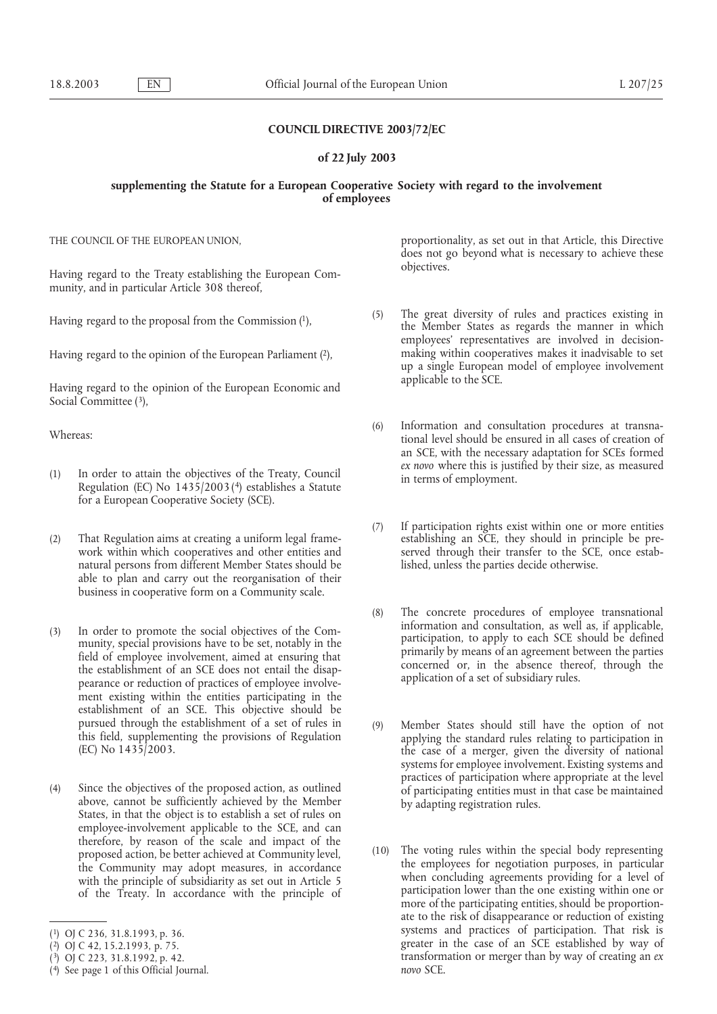#### **COUNCIL DIRECTIVE 2003/72/EC**

### **of 22 July 2003**

## **supplementing the Statute for a European Cooperative Society with regard to the involvement of employees**

THE COUNCIL OF THE EUROPEAN UNION,

Having regard to the Treaty establishing the European Community, and in particular Article 308 thereof,

Having regard to the proposal from the Commission  $(1)$ ,

Having regard to the opinion of the European Parliament (2),

Having regard to the opinion of the European Economic and Social Committee (3),

Whereas:

- (1) In order to attain the objectives of the Treaty, Council Regulation (EC) No 1435/2003 (4) establishes a Statute for a European Cooperative Society (SCE).
- (2) That Regulation aims at creating a uniform legal framework within which cooperatives and other entities and natural persons from different Member States should be able to plan and carry out the reorganisation of their business in cooperative form on a Community scale.
- (3) In order to promote the social objectives of the Community, special provisions have to be set, notably in the field of employee involvement, aimed at ensuring that the establishment of an SCE does not entail the disappearance or reduction of practices of employee involvement existing within the entities participating in the establishment of an SCE. This objective should be pursued through the establishment of a set of rules in this field, supplementing the provisions of Regulation (EC) No 1435/2003.
- (4) Since the objectives of the proposed action, as outlined above, cannot be sufficiently achieved by the Member States, in that the object is to establish a set of rules on employee-involvement applicable to the SCE, and can therefore, by reason of the scale and impact of the proposed action, be better achieved at Community level, the Community may adopt measures, in accordance with the principle of subsidiarity as set out in Article 5 of the Treaty. In accordance with the principle of

proportionality, as set out in that Article, this Directive does not go beyond what is necessary to achieve these objectives.

- (5) The great diversity of rules and practices existing in the Member States as regards the manner in which employees' representatives are involved in decisionmaking within cooperatives makes it inadvisable to set up a single European model of employee involvement applicable to the SCE.
- (6) Information and consultation procedures at transnational level should be ensured in all cases of creation of an SCE, with the necessary adaptation for SCEs formed *ex novo* where this is justified by their size, as measured in terms of employment.
- (7) If participation rights exist within one or more entities establishing an SCE, they should in principle be preserved through their transfer to the SCE, once established, unless the parties decide otherwise.
- (8) The concrete procedures of employee transnational information and consultation, as well as, if applicable, participation, to apply to each SCE should be defined primarily by means of an agreement between the parties concerned or, in the absence thereof, through the application of a set of subsidiary rules.
- (9) Member States should still have the option of not applying the standard rules relating to participation in the case of a merger, given the diversity of national systems for employee involvement. Existing systems and practices of participation where appropriate at the level of participating entities must in that case be maintained by adapting registration rules.
- (10) The voting rules within the special body representing the employees for negotiation purposes, in particular when concluding agreements providing for a level of participation lower than the one existing within one or more of the participating entities, should be proportionate to the risk of disappearance or reduction of existing systems and practices of participation. That risk is greater in the case of an SCE established by way of transformation or merger than by way of creating an *ex novo* SCE.

<sup>(1)</sup> OJ C 236, 31.8.1993, p. 36.

<sup>(2)</sup> OJ C 42, 15.2.1993, p. 75.

 $(3)$  OJ C 223, 31.8.1992, p. 42.

<sup>(4)</sup> See page 1 of this Official Journal.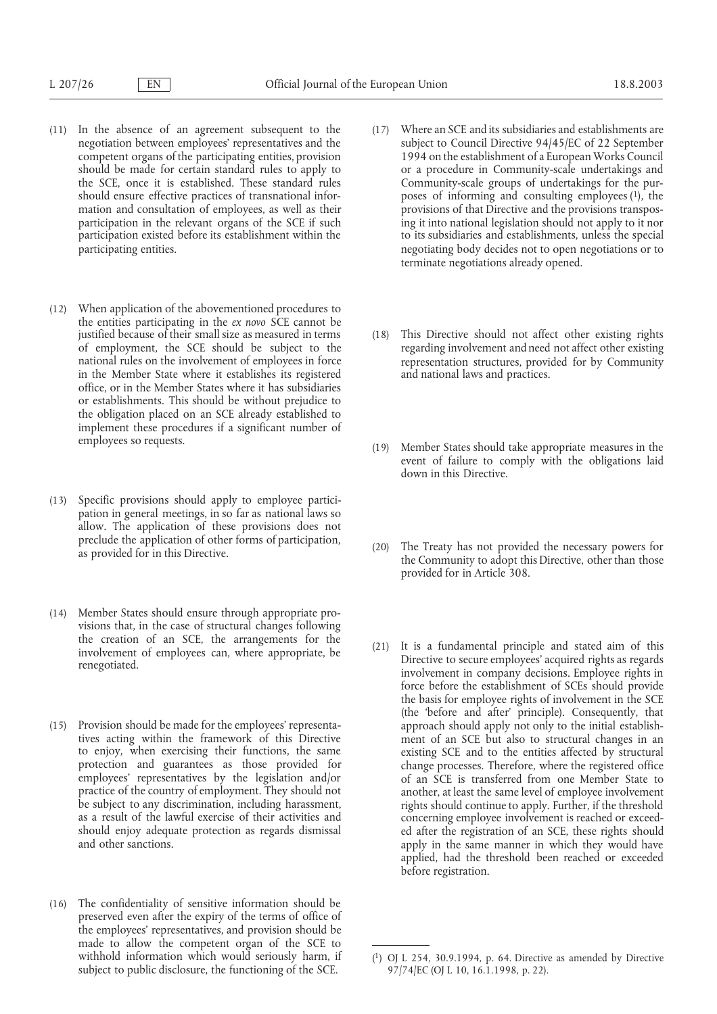- (11) In the absence of an agreement subsequent to the negotiation between employees' representatives and the competent organs of the participating entities, provision should be made for certain standard rules to apply to the SCE, once it is established. These standard rules should ensure effective practices of transnational information and consultation of employees, as well as their participation in the relevant organs of the SCE if such participation existed before its establishment within the participating entities.
- (12) When application of the abovementioned procedures to the entities participating in the *ex novo* SCE cannot be justified because of their small size as measured in terms of employment, the SCE should be subject to the national rules on the involvement of employees in force in the Member State where it establishes its registered office, or in the Member States where it has subsidiaries or establishments. This should be without prejudice to the obligation placed on an SCE already established to implement these procedures if a significant number of employees so requests.
- (13) Specific provisions should apply to employee participation in general meetings, in so far as national laws so allow. The application of these provisions does not preclude the application of other forms of participation, as provided for in this Directive.
- (14) Member States should ensure through appropriate provisions that, in the case of structural changes following the creation of an SCE, the arrangements for the involvement of employees can, where appropriate, be renegotiated.
- (15) Provision should be made for the employees' representatives acting within the framework of this Directive to enjoy, when exercising their functions, the same protection and guarantees as those provided for employees' representatives by the legislation and/or practice of the country of employment. They should not be subject to any discrimination, including harassment, as a result of the lawful exercise of their activities and should enjoy adequate protection as regards dismissal and other sanctions.
- (16) The confidentiality of sensitive information should be preserved even after the expiry of the terms of office of the employees' representatives, and provision should be made to allow the competent organ of the SCE to withhold information which would seriously harm, if subject to public disclosure, the functioning of the SCE.
- (17) Where an SCE and its subsidiaries and establishments are subject to Council Directive 94/45/EC of 22 September 1994 on the establishment of a European Works Council or a procedure in Community-scale undertakings and Community-scale groups of undertakings for the purposes of informing and consulting employees (1), the provisions of that Directive and the provisions transposing it into national legislation should not apply to it nor to its subsidiaries and establishments, unless the special negotiating body decides not to open negotiations or to terminate negotiations already opened.
- (18) This Directive should not affect other existing rights regarding involvement and need not affect other existing representation structures, provided for by Community and national laws and practices.
- (19) Member States should take appropriate measures in the event of failure to comply with the obligations laid down in this Directive.
- (20) The Treaty has not provided the necessary powers for the Community to adopt this Directive, other than those provided for in Article 308.
- (21) It is a fundamental principle and stated aim of this Directive to secure employees' acquired rights as regards involvement in company decisions. Employee rights in force before the establishment of SCEs should provide the basis for employee rights of involvement in the SCE (the 'before and after' principle). Consequently, that approach should apply not only to the initial establishment of an SCE but also to structural changes in an existing SCE and to the entities affected by structural change processes. Therefore, where the registered office of an SCE is transferred from one Member State to another, at least the same level of employee involvement rights should continue to apply. Further, if the threshold concerning employee involvement is reached or exceeded after the registration of an SCE, these rights should apply in the same manner in which they would have applied, had the threshold been reached or exceeded before registration.

<sup>(</sup> 1) OJ L 254, 30.9.1994, p. 64. Directive as amended by Directive 97/74/EC (OJ L 10, 16.1.1998, p. 22).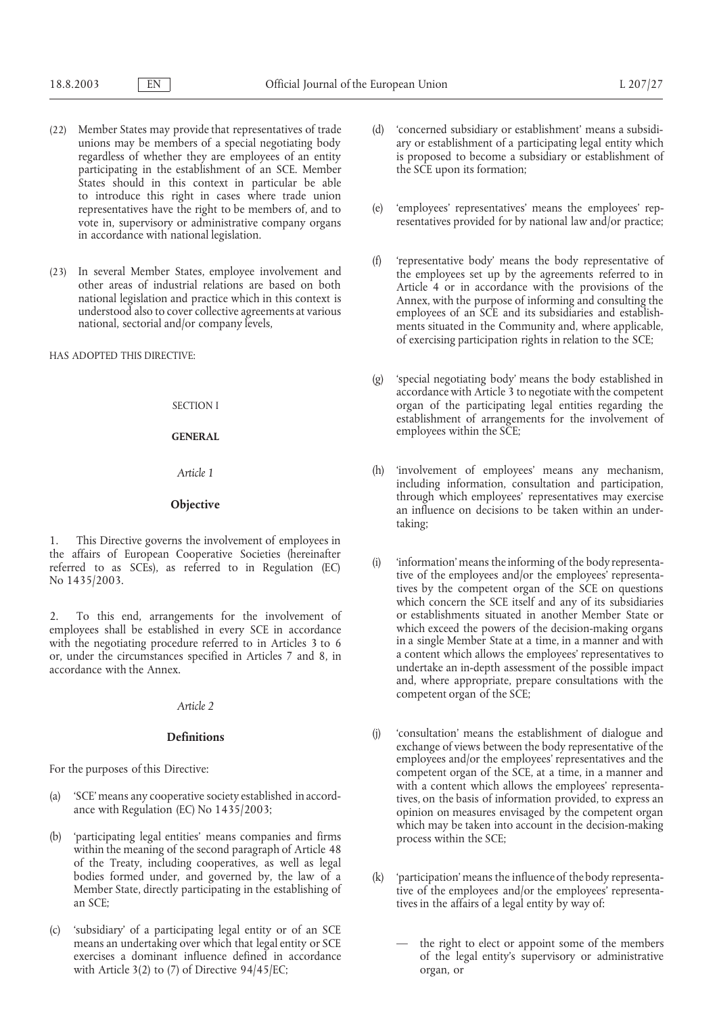- (22) Member States may provide that representatives of trade unions may be members of a special negotiating body regardless of whether they are employees of an entity participating in the establishment of an SCE. Member States should in this context in particular be able to introduce this right in cases where trade union representatives have the right to be members of, and to vote in, supervisory or administrative company organs in accordance with national legislation.
- (23) In several Member States, employee involvement and other areas of industrial relations are based on both national legislation and practice which in this context is understood also to cover collective agreements at various national, sectorial and/or company levels,

HAS ADOPTED THIS DIRECTIVE:

### SECTION I

# **GENERAL**

*Article 1*

# **Objective**

1. This Directive governs the involvement of employees in the affairs of European Cooperative Societies (hereinafter referred to as SCEs), as referred to in Regulation (EC) No 1435/2003.

2. To this end, arrangements for the involvement of employees shall be established in every SCE in accordance with the negotiating procedure referred to in Articles 3 to 6 or, under the circumstances specified in Articles 7 and 8, in accordance with the Annex.

#### *Article 2*

### **Definitions**

For the purposes of this Directive:

- (a) 'SCE' means any cooperative society established in accordance with Regulation (EC) No 1435/2003;
- (b) 'participating legal entities' means companies and firms within the meaning of the second paragraph of Article 48 of the Treaty, including cooperatives, as well as legal bodies formed under, and governed by, the law of a Member State, directly participating in the establishing of an SCE;
- (c) 'subsidiary' of a participating legal entity or of an SCE means an undertaking over which that legal entity or SCE exercises a dominant influence defined in accordance with Article 3(2) to (7) of Directive 94/45/EC;
- (d) 'concerned subsidiary or establishment' means a subsidiary or establishment of a participating legal entity which is proposed to become a subsidiary or establishment of the SCE upon its formation;
- (e) 'employees' representatives' means the employees' representatives provided for by national law and/or practice;
- (f) 'representative body' means the body representative of the employees set up by the agreements referred to in Article 4 or in accordance with the provisions of the Annex, with the purpose of informing and consulting the employees of an SCE and its subsidiaries and establishments situated in the Community and, where applicable, of exercising participation rights in relation to the SCE;
- (g) 'special negotiating body' means the body established in accordance with Article 3 to negotiate with the competent organ of the participating legal entities regarding the establishment of arrangements for the involvement of employees within the SCE;
- (h) 'involvement of employees' means any mechanism, including information, consultation and participation, through which employees' representatives may exercise an influence on decisions to be taken within an undertaking;
- (i) 'information' means the informing of the body representative of the employees and/or the employees' representatives by the competent organ of the SCE on questions which concern the SCE itself and any of its subsidiaries or establishments situated in another Member State or which exceed the powers of the decision-making organs in a single Member State at a time, in a manner and with a content which allows the employees' representatives to undertake an in-depth assessment of the possible impact and, where appropriate, prepare consultations with the competent organ of the SCE;
- (j) 'consultation' means the establishment of dialogue and exchange of views between the body representative of the employees and/or the employees' representatives and the competent organ of the SCE, at a time, in a manner and with a content which allows the employees' representatives, on the basis of information provided, to express an opinion on measures envisaged by the competent organ which may be taken into account in the decision-making process within the SCE;
- (k) 'participation' means the influence of the body representative of the employees and/or the employees' representatives in the affairs of a legal entity by way of:
	- the right to elect or appoint some of the members of the legal entity's supervisory or administrative organ, or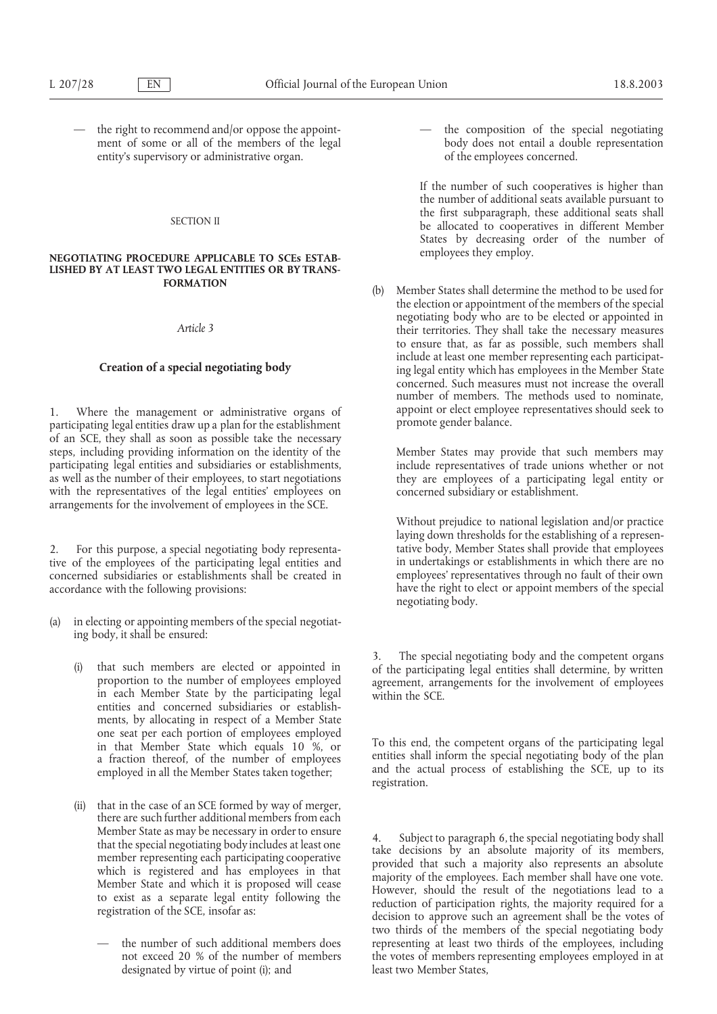— the right to recommend and/or oppose the appointment of some or all of the members of the legal entity's supervisory or administrative organ.

#### SECTION II

### **NEGOTIATING PROCEDURE APPLICABLE TO SCEs ESTAB-LISHED BY AT LEAST TWO LEGAL ENTITIES OR BY TRANS-FORMATION**

*Article 3*

#### **Creation of a special negotiating body**

1. Where the management or administrative organs of participating legal entities draw up a plan for the establishment of an SCE, they shall as soon as possible take the necessary steps, including providing information on the identity of the participating legal entities and subsidiaries or establishments, as well as the number of their employees, to start negotiations with the representatives of the legal entities' employees on arrangements for the involvement of employees in the SCE.

2. For this purpose, a special negotiating body representative of the employees of the participating legal entities and concerned subsidiaries or establishments shall be created in accordance with the following provisions:

- (a) in electing or appointing members of the special negotiating body, it shall be ensured:
	- (i) that such members are elected or appointed in proportion to the number of employees employed in each Member State by the participating legal entities and concerned subsidiaries or establishments, by allocating in respect of a Member State one seat per each portion of employees employed in that Member State which equals 10 %, or a fraction thereof, of the number of employees employed in all the Member States taken together;
	- (ii) that in the case of an SCE formed by way of merger, there are such further additional members from each Member State as may be necessary in order to ensure that the special negotiating body includes at least one member representing each participating cooperative which is registered and has employees in that Member State and which it is proposed will cease to exist as a separate legal entity following the registration of the SCE, insofar as:
		- the number of such additional members does not exceed 20 % of the number of members designated by virtue of point (i); and

the composition of the special negotiating body does not entail a double representation of the employees concerned.

If the number of such cooperatives is higher than the number of additional seats available pursuant to the first subparagraph, these additional seats shall be allocated to cooperatives in different Member States by decreasing order of the number of employees they employ.

(b) Member States shall determine the method to be used for the election or appointment of the members of the special negotiating body who are to be elected or appointed in their territories. They shall take the necessary measures to ensure that, as far as possible, such members shall include at least one member representing each participating legal entity which has employees in the Member State concerned. Such measures must not increase the overall number of members. The methods used to nominate, appoint or elect employee representatives should seek to promote gender balance.

Member States may provide that such members may include representatives of trade unions whether or not they are employees of a participating legal entity or concerned subsidiary or establishment.

Without prejudice to national legislation and/or practice laying down thresholds for the establishing of a representative body, Member States shall provide that employees in undertakings or establishments in which there are no employees' representatives through no fault of their own have the right to elect or appoint members of the special negotiating body.

3. The special negotiating body and the competent organs of the participating legal entities shall determine, by written agreement, arrangements for the involvement of employees within the SCE.

To this end, the competent organs of the participating legal entities shall inform the special negotiating body of the plan and the actual process of establishing the SCE, up to its registration.

4. Subject to paragraph 6, the special negotiating body shall take decisions by an absolute majority of its members, provided that such a majority also represents an absolute majority of the employees. Each member shall have one vote. However, should the result of the negotiations lead to a reduction of participation rights, the majority required for a decision to approve such an agreement shall be the votes of two thirds of the members of the special negotiating body representing at least two thirds of the employees, including the votes of members representing employees employed in at least two Member States,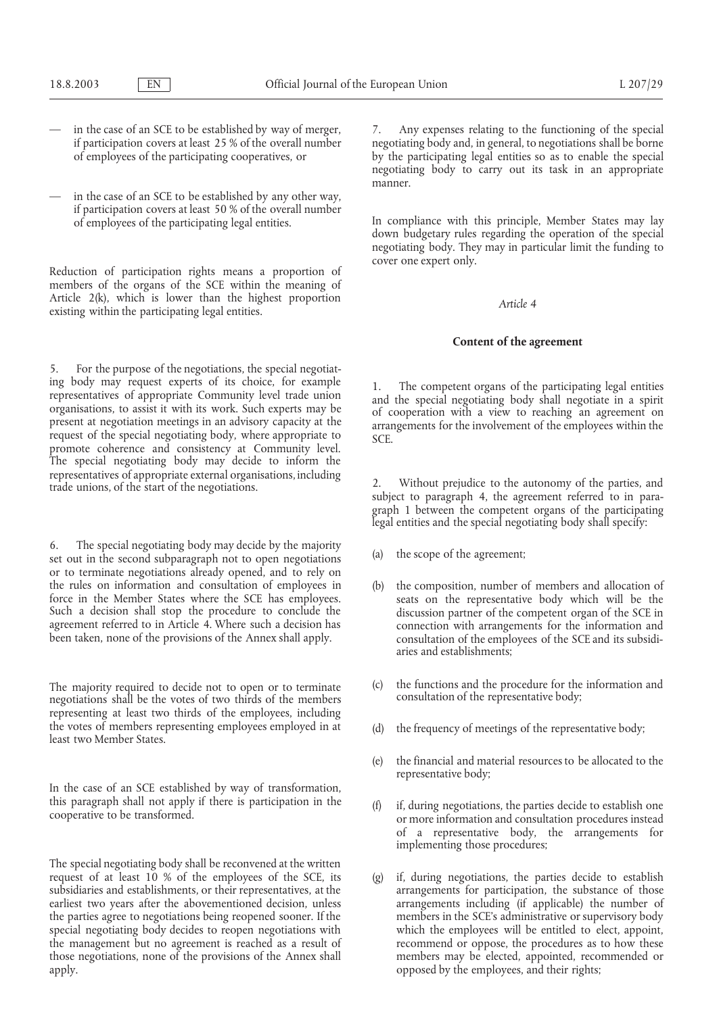- in the case of an SCE to be established by way of merger, if participation covers at least 25 % of the overall number of employees of the participating cooperatives, or
- in the case of an SCE to be established by any other way, if participation covers at least 50 % of the overall number of employees of the participating legal entities.

Reduction of participation rights means a proportion of members of the organs of the SCE within the meaning of Article 2(k), which is lower than the highest proportion existing within the participating legal entities.

5. For the purpose of the negotiations, the special negotiating body may request experts of its choice, for example representatives of appropriate Community level trade union organisations, to assist it with its work. Such experts may be present at negotiation meetings in an advisory capacity at the request of the special negotiating body, where appropriate to promote coherence and consistency at Community level. The special negotiating body may decide to inform the representatives of appropriate external organisations, including trade unions, of the start of the negotiations.

6. The special negotiating body may decide by the majority set out in the second subparagraph not to open negotiations or to terminate negotiations already opened, and to rely on the rules on information and consultation of employees in force in the Member States where the SCE has employees. Such a decision shall stop the procedure to conclude the agreement referred to in Article 4. Where such a decision has been taken, none of the provisions of the Annex shall apply.

The majority required to decide not to open or to terminate negotiations shall be the votes of two thirds of the members representing at least two thirds of the employees, including the votes of members representing employees employed in at least two Member States.

In the case of an SCE established by way of transformation, this paragraph shall not apply if there is participation in the cooperative to be transformed.

The special negotiating body shall be reconvened at the written request of at least 10 % of the employees of the SCE, its subsidiaries and establishments, or their representatives, at the earliest two years after the abovementioned decision, unless the parties agree to negotiations being reopened sooner. If the special negotiating body decides to reopen negotiations with the management but no agreement is reached as a result of those negotiations, none of the provisions of the Annex shall apply.

7. Any expenses relating to the functioning of the special negotiating body and, in general, to negotiations shall be borne by the participating legal entities so as to enable the special negotiating body to carry out its task in an appropriate manner.

In compliance with this principle, Member States may lay down budgetary rules regarding the operation of the special negotiating body. They may in particular limit the funding to cover one expert only.

#### *Article 4*

# **Content of the agreement**

1. The competent organs of the participating legal entities and the special negotiating body shall negotiate in a spirit of cooperation with a view to reaching an agreement on arrangements for the involvement of the employees within the SCE.

2. Without prejudice to the autonomy of the parties, and subject to paragraph 4, the agreement referred to in paragraph 1 between the competent organs of the participating legal entities and the special negotiating body shall specify:

- (a) the scope of the agreement;
- (b) the composition, number of members and allocation of seats on the representative body which will be the discussion partner of the competent organ of the SCE in connection with arrangements for the information and consultation of the employees of the SCE and its subsidiaries and establishments;
- (c) the functions and the procedure for the information and consultation of the representative body;
- (d) the frequency of meetings of the representative body;
- (e) the financial and material resources to be allocated to the representative body;
- (f) if, during negotiations, the parties decide to establish one or more information and consultation procedures instead of a representative body, the arrangements for implementing those procedures;
- (g) if, during negotiations, the parties decide to establish arrangements for participation, the substance of those arrangements including (if applicable) the number of members in the SCE's administrative or supervisory body which the employees will be entitled to elect, appoint, recommend or oppose, the procedures as to how these members may be elected, appointed, recommended or opposed by the employees, and their rights;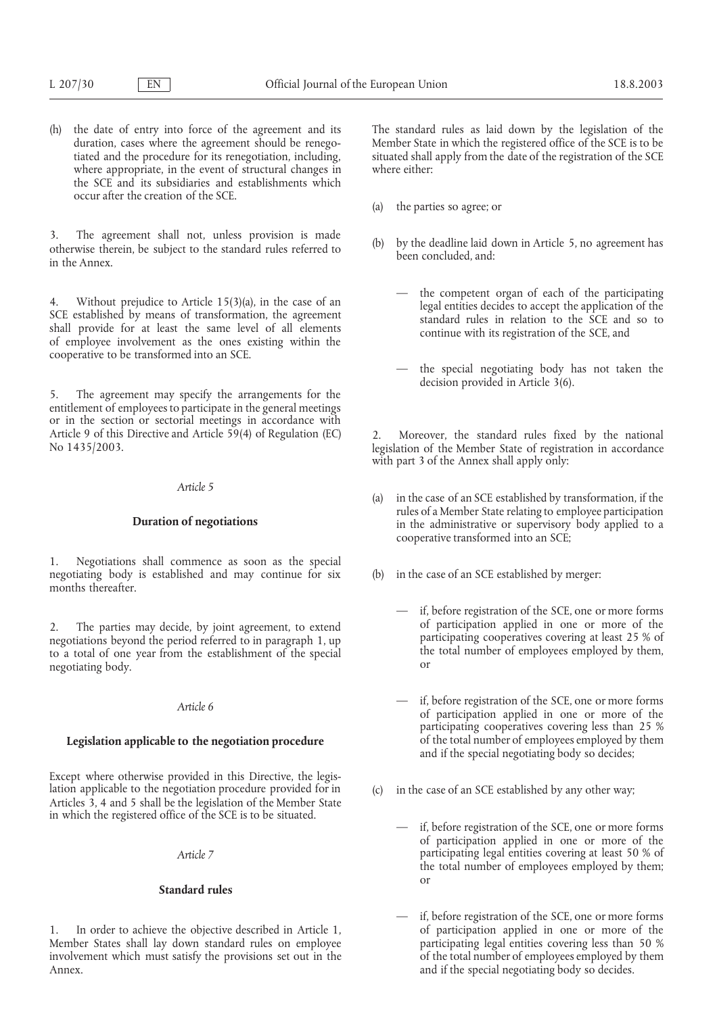(h) the date of entry into force of the agreement and its duration, cases where the agreement should be renegotiated and the procedure for its renegotiation, including, where appropriate, in the event of structural changes in the SCE and its subsidiaries and establishments which occur after the creation of the SCE.

3. The agreement shall not, unless provision is made otherwise therein, be subject to the standard rules referred to in the Annex.

4. Without prejudice to Article 15(3)(a), in the case of an SCE established by means of transformation, the agreement shall provide for at least the same level of all elements of employee involvement as the ones existing within the cooperative to be transformed into an SCE.

5. The agreement may specify the arrangements for the entitlement of employees to participate in the general meetings or in the section or sectorial meetings in accordance with Article 9 of this Directive and Article 59(4) of Regulation (EC) No 1435/2003.

## *Article 5*

### **Duration of negotiations**

1. Negotiations shall commence as soon as the special negotiating body is established and may continue for six months thereafter.

2. The parties may decide, by joint agreement, to extend negotiations beyond the period referred to in paragraph 1, up to a total of one year from the establishment of the special negotiating body.

### *Article 6*

### **Legislation applicable to the negotiation procedure**

Except where otherwise provided in this Directive, the legislation applicable to the negotiation procedure provided for in Articles 3, 4 and 5 shall be the legislation of the Member State in which the registered office of the SCE is to be situated.

*Article 7*

### **Standard rules**

1. In order to achieve the objective described in Article 1, Member States shall lay down standard rules on employee involvement which must satisfy the provisions set out in the Annex.

The standard rules as laid down by the legislation of the Member State in which the registered office of the SCE is to be situated shall apply from the date of the registration of the SCE where either:

- (a) the parties so agree; or
- (b) by the deadline laid down in Article 5, no agreement has been concluded, and:
	- the competent organ of each of the participating legal entities decides to accept the application of the standard rules in relation to the SCE and so to continue with its registration of the SCE, and
	- the special negotiating body has not taken the decision provided in Article 3(6).

2. Moreover, the standard rules fixed by the national legislation of the Member State of registration in accordance with part 3 of the Annex shall apply only:

- (a) in the case of an SCE established by transformation, if the rules of a Member State relating to employee participation in the administrative or supervisory body applied to a cooperative transformed into an SCE;
- (b) in the case of an SCE established by merger:
	- if, before registration of the SCE, one or more forms of participation applied in one or more of the participating cooperatives covering at least 25 % of the total number of employees employed by them, or
	- if, before registration of the SCE, one or more forms of participation applied in one or more of the participating cooperatives covering less than 25 % of the total number of employees employed by them and if the special negotiating body so decides;
- (c) in the case of an SCE established by any other way;
	- if, before registration of the SCE, one or more forms of participation applied in one or more of the participating legal entities covering at least 50 % of the total number of employees employed by them; or
	- if, before registration of the SCE, one or more forms of participation applied in one or more of the participating legal entities covering less than 50 % of the total number of employees employed by them and if the special negotiating body so decides.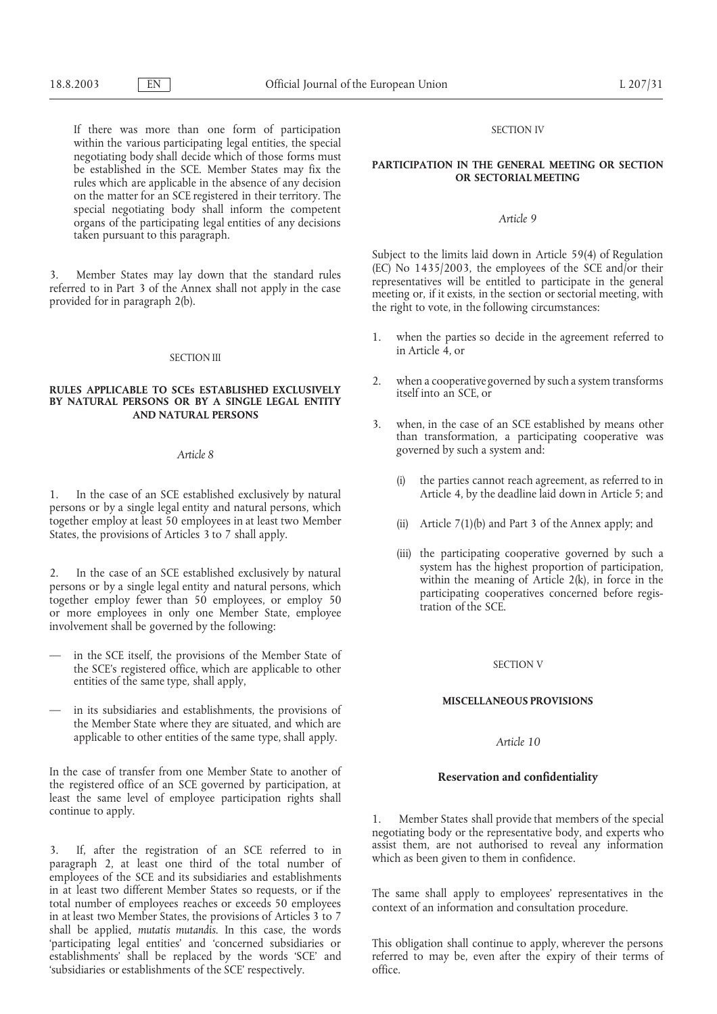If there was more than one form of participation within the various participating legal entities, the special negotiating body shall decide which of those forms must be established in the SCE. Member States may fix the rules which are applicable in the absence of any decision on the matter for an SCE registered in their territory. The special negotiating body shall inform the competent organs of the participating legal entities of any decisions taken pursuant to this paragraph.

3. Member States may lay down that the standard rules referred to in Part 3 of the Annex shall not apply in the case provided for in paragraph 2(b).

#### SECTION III

### **RULES APPLICABLE TO SCEs ESTABLISHED EXCLUSIVELY BY NATURAL PERSONS OR BY A SINGLE LEGAL ENTITY AND NATURAL PERSONS**

### *Article 8*

1. In the case of an SCE established exclusively by natural persons or by a single legal entity and natural persons, which together employ at least 50 employees in at least two Member States, the provisions of Articles 3 to 7 shall apply.

2. In the case of an SCE established exclusively by natural persons or by a single legal entity and natural persons, which together employ fewer than 50 employees, or employ 50 or more employees in only one Member State, employee involvement shall be governed by the following:

- in the SCE itself, the provisions of the Member State of the SCE's registered office, which are applicable to other entities of the same type, shall apply,
- in its subsidiaries and establishments, the provisions of the Member State where they are situated, and which are applicable to other entities of the same type, shall apply.

In the case of transfer from one Member State to another of the registered office of an SCE governed by participation, at least the same level of employee participation rights shall continue to apply.

3. If, after the registration of an SCE referred to in paragraph 2, at least one third of the total number of employees of the SCE and its subsidiaries and establishments in at least two different Member States so requests, or if the total number of employees reaches or exceeds 50 employees in at least two Member States, the provisions of Articles 3 to 7 shall be applied, *mutatis mutandis*. In this case, the words 'participating legal entities' and 'concerned subsidiaries or establishments' shall be replaced by the words 'SCE' and 'subsidiaries or establishments of the SCE' respectively.

### SECTION IV

### **PARTICIPATION IN THE GENERAL MEETING OR SECTION OR SECTORIAL MEETING**

### *Article 9*

Subject to the limits laid down in Article 59(4) of Regulation  $(EC)$  No 1435/2003, the employees of the SCE and/or their representatives will be entitled to participate in the general meeting or, if it exists, in the section or sectorial meeting, with the right to vote, in the following circumstances:

- 1. when the parties so decide in the agreement referred to in Article 4, or
- 2. when a cooperative governed by such a system transforms itself into an SCE, or
- 3. when, in the case of an SCE established by means other than transformation, a participating cooperative was governed by such a system and:
	- (i) the parties cannot reach agreement, as referred to in Article 4, by the deadline laid down in Article 5; and
	- (ii) Article  $7(1)(b)$  and Part 3 of the Annex apply; and
	- (iii) the participating cooperative governed by such a system has the highest proportion of participation, within the meaning of Article 2(k), in force in the participating cooperatives concerned before registration of the SCE.

#### SECTION V

### **MISCELLANEOUS PROVISIONS**

#### *Article 10*

#### **Reservation and confidentiality**

1. Member States shall provide that members of the special negotiating body or the representative body, and experts who assist them, are not authorised to reveal any information which as been given to them in confidence.

The same shall apply to employees' representatives in the context of an information and consultation procedure.

This obligation shall continue to apply, wherever the persons referred to may be, even after the expiry of their terms of office.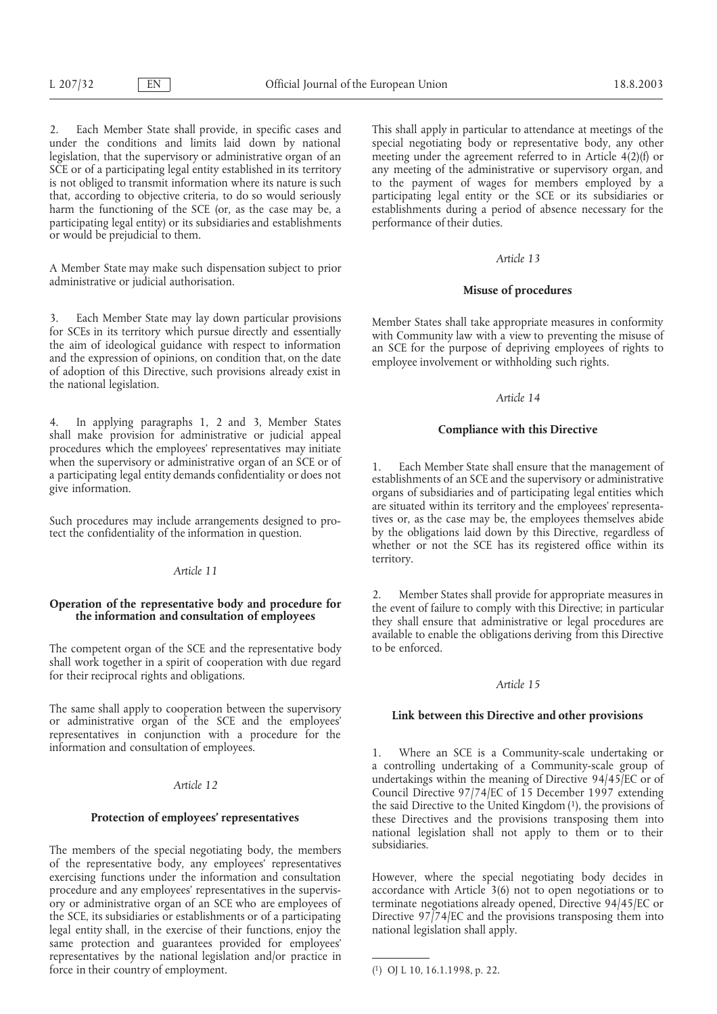2. Each Member State shall provide, in specific cases and under the conditions and limits laid down by national legislation, that the supervisory or administrative organ of an SCE or of a participating legal entity established in its territory is not obliged to transmit information where its nature is such that, according to objective criteria, to do so would seriously harm the functioning of the SCE (or, as the case may be, a participating legal entity) or its subsidiaries and establishments or would be prejudicial to them.

A Member State may make such dispensation subject to prior administrative or judicial authorisation.

3. Each Member State may lay down particular provisions for SCEs in its territory which pursue directly and essentially the aim of ideological guidance with respect to information and the expression of opinions, on condition that, on the date of adoption of this Directive, such provisions already exist in the national legislation.

4. In applying paragraphs 1, 2 and 3, Member States shall make provision for administrative or judicial appeal procedures which the employees' representatives may initiate when the supervisory or administrative organ of an SCE or of a participating legal entity demands confidentiality or does not give information.

Such procedures may include arrangements designed to protect the confidentiality of the information in question.

### *Article 11*

### **Operation of the representative body and procedure for the information and consultation of employees**

The competent organ of the SCE and the representative body shall work together in a spirit of cooperation with due regard for their reciprocal rights and obligations.

The same shall apply to cooperation between the supervisory or administrative organ of the SCE and the employees' representatives in conjunction with a procedure for the information and consultation of employees.

# *Article 12*

### **Protection of employees' representatives**

The members of the special negotiating body, the members of the representative body, any employees' representatives exercising functions under the information and consultation procedure and any employees' representatives in the supervisory or administrative organ of an SCE who are employees of the SCE, its subsidiaries or establishments or of a participating legal entity shall, in the exercise of their functions, enjoy the same protection and guarantees provided for employees' representatives by the national legislation and/or practice in force in their country of employment.

This shall apply in particular to attendance at meetings of the special negotiating body or representative body, any other meeting under the agreement referred to in Article  $4(2)(f)$  or any meeting of the administrative or supervisory organ, and to the payment of wages for members employed by a participating legal entity or the SCE or its subsidiaries or establishments during a period of absence necessary for the performance of their duties.

# *Article 13*

#### **Misuse of procedures**

Member States shall take appropriate measures in conformity with Community law with a view to preventing the misuse of an SCE for the purpose of depriving employees of rights to employee involvement or withholding such rights.

#### *Article 14*

### **Compliance with this Directive**

1. Each Member State shall ensure that the management of establishments of an SCE and the supervisory or administrative organs of subsidiaries and of participating legal entities which are situated within its territory and the employees' representatives or, as the case may be, the employees themselves abide by the obligations laid down by this Directive, regardless of whether or not the SCE has its registered office within its territory.

2. Member States shall provide for appropriate measures in the event of failure to comply with this Directive; in particular they shall ensure that administrative or legal procedures are available to enable the obligations deriving from this Directive to be enforced.

## *Article 15*

### **Link between this Directive and other provisions**

1. Where an SCE is a Community-scale undertaking or a controlling undertaking of a Community-scale group of undertakings within the meaning of Directive 94/45/EC or of Council Directive 97/74/EC of 15 December 1997 extending the said Directive to the United Kingdom (1), the provisions of these Directives and the provisions transposing them into national legislation shall not apply to them or to their subsidiaries.

However, where the special negotiating body decides in accordance with Article 3(6) not to open negotiations or to terminate negotiations already opened, Directive 94/45/EC or Directive 97/74/EC and the provisions transposing them into national legislation shall apply.

<sup>(1)</sup> OJ L 10, 16.1.1998, p. 22.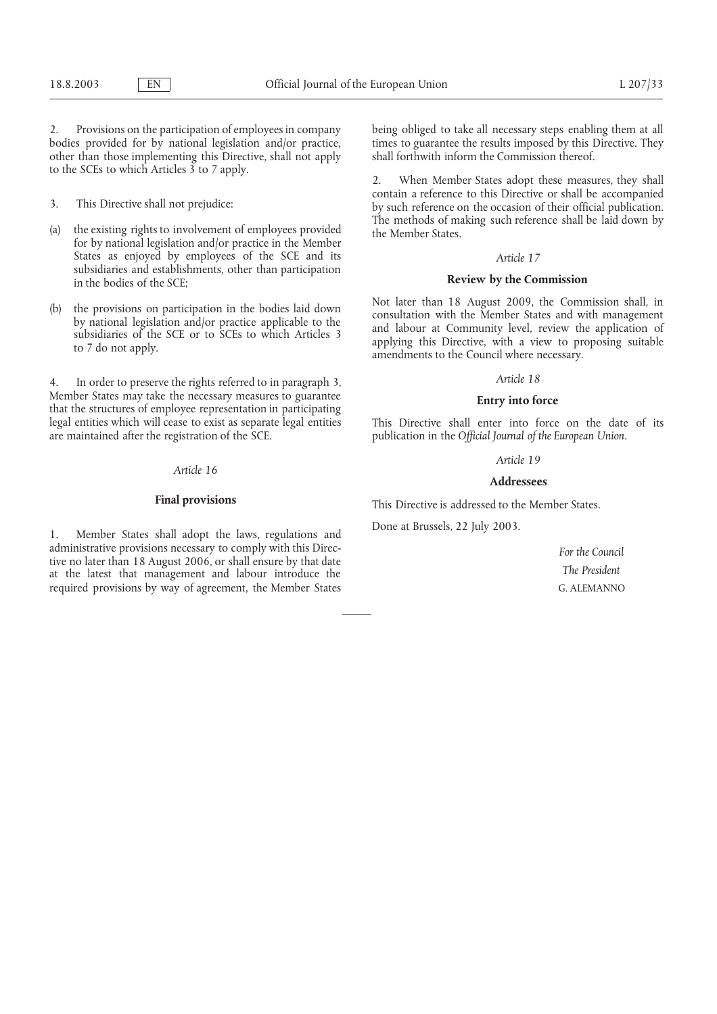2. Provisions on the participation of employees in company bodies provided for by national legislation and/or practice, other than those implementing this Directive, shall not apply to the SCEs to which Articles  $\tilde{3}$  to 7 apply.

3. This Directive shall not prejudice:

- (a) the existing rights to involvement of employees provided for by national legislation and/or practice in the Member States as enjoyed by employees of the SCE and its subsidiaries and establishments, other than participation in the bodies of the SCE;
- (b) the provisions on participation in the bodies laid down by national legislation and/or practice applicable to the subsidiaries of the SCE or to SCEs to which Articles 3 to 7 do not apply.

4. In order to preserve the rights referred to in paragraph 3, Member States may take the necessary measures to guarantee that the structures of employee representation in participating legal entities which will cease to exist as separate legal entities are maintained after the registration of the SCE.

### *Article 16*

#### **Final provisions**

1. Member States shall adopt the laws, regulations and administrative provisions necessary to comply with this Directive no later than 18 August 2006, or shall ensure by that date at the latest that management and labour introduce the required provisions by way of agreement, the Member States being obliged to take all necessary steps enabling them at all times to guarantee the results imposed by this Directive. They shall forthwith inform the Commission thereof.

2. When Member States adopt these measures, they shall contain a reference to this Directive or shall be accompanied by such reference on the occasion of their official publication. The methods of making such reference shall be laid down by the Member States.

### *Article 17*

### **Review by the Commission**

Not later than 18 August 2009, the Commission shall, in consultation with the Member States and with management and labour at Community level, review the application of applying this Directive, with a view to proposing suitable amendments to the Council where necessary.

#### *Article 18*

## **Entry into force**

This Directive shall enter into force on the date of its publication in the *Official Journal of the European Union*.

### *Article 19*

### **Addressees**

This Directive is addressed to the Member States.

Done at Brussels, 22 July 2003.

*For the Council The President* G. ALEMANNO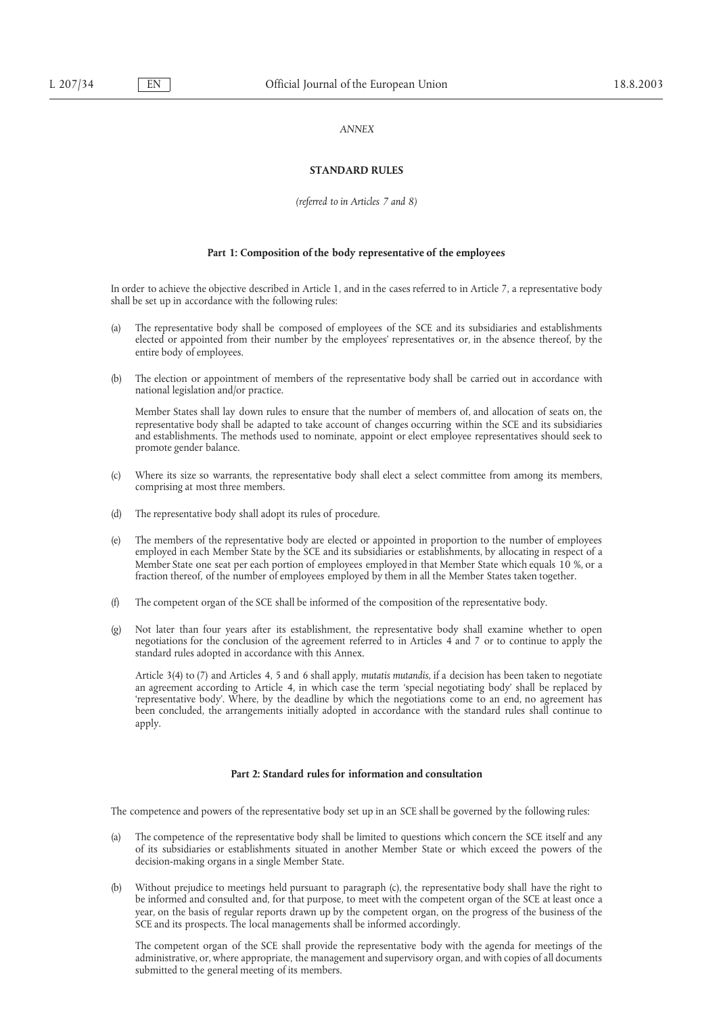### *ANNEX*

## **STANDARD RULES**

*(referred to in Articles 7 and 8)*

#### **Part 1: Composition of the body representative of the employees**

In order to achieve the objective described in Article 1, and in the cases referred to in Article 7, a representative body shall be set up in accordance with the following rules:

- (a) The representative body shall be composed of employees of the SCE and its subsidiaries and establishments elected or appointed from their number by the employees' representatives or, in the absence thereof, by the entire body of employees.
- (b) The election or appointment of members of the representative body shall be carried out in accordance with national legislation and/or practice.

Member States shall lay down rules to ensure that the number of members of, and allocation of seats on, the representative body shall be adapted to take account of changes occurring within the SCE and its subsidiaries and establishments. The methods used to nominate, appoint or elect employee representatives should seek to promote gender balance.

- (c) Where its size so warrants, the representative body shall elect a select committee from among its members, comprising at most three members.
- (d) The representative body shall adopt its rules of procedure.
- (e) The members of the representative body are elected or appointed in proportion to the number of employees employed in each Member State by the SCE and its subsidiaries or establishments, by allocating in respect of a Member State one seat per each portion of employees employed in that Member State which equals 10 %, or a fraction thereof, of the number of employees employed by them in all the Member States taken together.
- (f) The competent organ of the SCE shall be informed of the composition of the representative body.
- (g) Not later than four years after its establishment, the representative body shall examine whether to open negotiations for the conclusion of the agreement referred to in Articles 4 and 7 or to continue to apply the standard rules adopted in accordance with this Annex.

Article 3(4) to (7) and Articles 4, 5 and 6 shall apply, *mutatis mutandis*, if a decision has been taken to negotiate an agreement according to Article 4, in which case the term 'special negotiating body' shall be replaced by 'representative body'. Where, by the deadline by which the negotiations come to an end, no agreement has been concluded, the arrangements initially adopted in accordance with the standard rules shall continue to apply.

### **Part 2: Standard rules for information and consultation**

The competence and powers of the representative body set up in an SCE shall be governed by the following rules:

- (a) The competence of the representative body shall be limited to questions which concern the SCE itself and any of its subsidiaries or establishments situated in another Member State or which exceed the powers of the decision-making organs in a single Member State.
- (b) Without prejudice to meetings held pursuant to paragraph (c), the representative body shall have the right to be informed and consulted and, for that purpose, to meet with the competent organ of the SCE at least once a year, on the basis of regular reports drawn up by the competent organ, on the progress of the business of the SCE and its prospects. The local managements shall be informed accordingly.

The competent organ of the SCE shall provide the representative body with the agenda for meetings of the administrative, or, where appropriate, the management and supervisory organ, and with copies of all documents submitted to the general meeting of its members.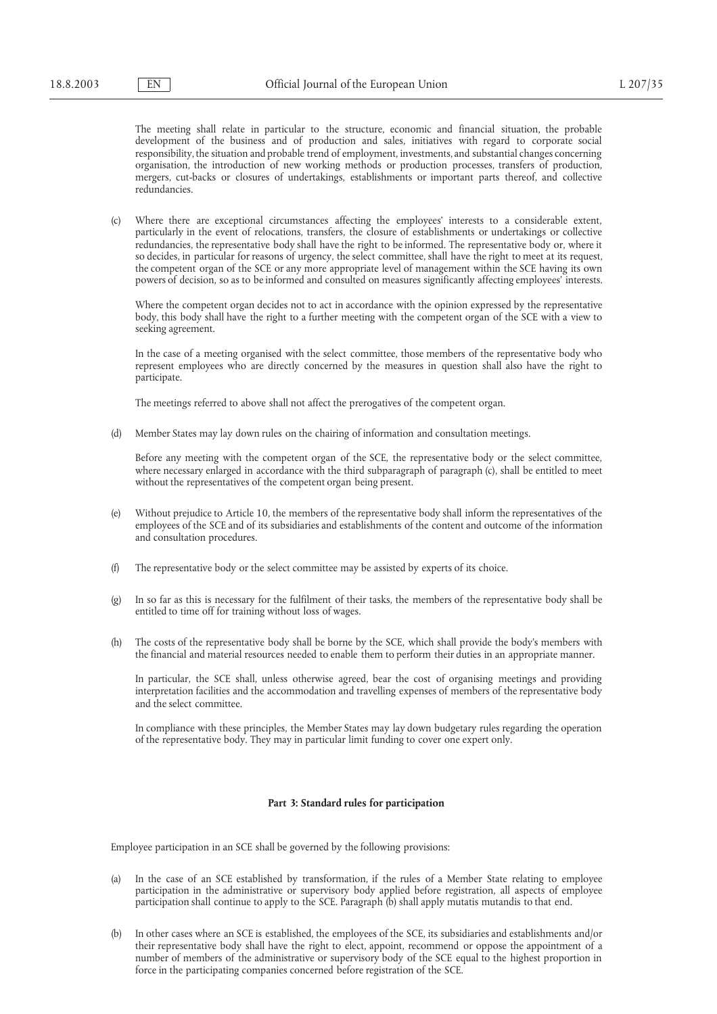The meeting shall relate in particular to the structure, economic and financial situation, the probable development of the business and of production and sales, initiatives with regard to corporate social responsibility, the situation and probable trend of employment, investments, and substantial changes concerning organisation, the introduction of new working methods or production processes, transfers of production, mergers, cut-backs or closures of undertakings, establishments or important parts thereof, and collective redundancies.

(c) Where there are exceptional circumstances affecting the employees' interests to a considerable extent, particularly in the event of relocations, transfers, the closure of establishments or undertakings or collective redundancies, the representative body shall have the right to be informed. The representative body or, where it so decides, in particular for reasons of urgency, the select committee, shall have the right to meet at its request, the competent organ of the SCE or any more appropriate level of management within the SCE having its own powers of decision, so as to be informed and consulted on measures significantly affecting employees' interests.

Where the competent organ decides not to act in accordance with the opinion expressed by the representative body, this body shall have the right to a further meeting with the competent organ of the SCE with a view to seeking agreement.

In the case of a meeting organised with the select committee, those members of the representative body who represent employees who are directly concerned by the measures in question shall also have the right to participate.

The meetings referred to above shall not affect the prerogatives of the competent organ.

(d) Member States may lay down rules on the chairing of information and consultation meetings.

Before any meeting with the competent organ of the SCE, the representative body or the select committee, where necessary enlarged in accordance with the third subparagraph of paragraph (c), shall be entitled to meet without the representatives of the competent organ being present.

- (e) Without prejudice to Article 10, the members of the representative body shall inform the representatives of the employees of the SCE and of its subsidiaries and establishments of the content and outcome of the information and consultation procedures.
- (f) The representative body or the select committee may be assisted by experts of its choice.
- (g) In so far as this is necessary for the fulfilment of their tasks, the members of the representative body shall be entitled to time off for training without loss of wages.
- (h) The costs of the representative body shall be borne by the SCE, which shall provide the body's members with the financial and material resources needed to enable them to perform their duties in an appropriate manner.

In particular, the SCE shall, unless otherwise agreed, bear the cost of organising meetings and providing interpretation facilities and the accommodation and travelling expenses of members of the representative body and the select committee.

In compliance with these principles, the Member States may lay down budgetary rules regarding the operation of the representative body. They may in particular limit funding to cover one expert only.

### **Part 3: Standard rules for participation**

Employee participation in an SCE shall be governed by the following provisions:

- (a) In the case of an SCE established by transformation, if the rules of a Member State relating to employee participation in the administrative or supervisory body applied before registration, all aspects of employee participation shall continue to apply to the SCE. Paragraph (b) shall apply mutatis mutandis to that end.
- (b) In other cases where an SCE is established, the employees of the SCE, its subsidiaries and establishments and/or their representative body shall have the right to elect, appoint, recommend or oppose the appointment of a number of members of the administrative or supervisory body of the SCE equal to the highest proportion in force in the participating companies concerned before registration of the SCE.